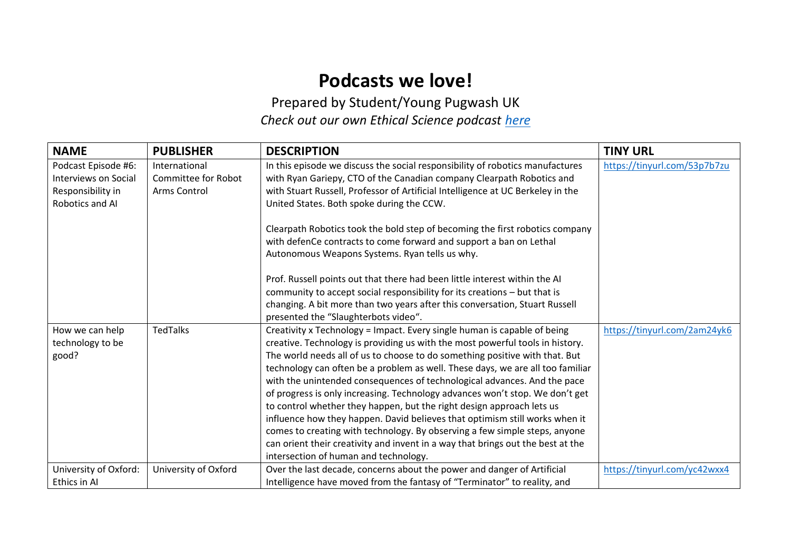## **Podcasts we love!**

Prepared by Student/Young Pugwash UK *Check out our own Ethical Science podcast [here](https://britishpugwash.org/what-is-pugwash/student-young-pugwash-syp/ethical-science/)*

| <b>NAME</b>                                                                                | <b>PUBLISHER</b>                                     | <b>DESCRIPTION</b>                                                                                                                                                                                                                                                                                                                                                                                                                                                                                                                                                                                                                                                                                                                                                                                                                                                                               | <b>TINY URL</b>              |
|--------------------------------------------------------------------------------------------|------------------------------------------------------|--------------------------------------------------------------------------------------------------------------------------------------------------------------------------------------------------------------------------------------------------------------------------------------------------------------------------------------------------------------------------------------------------------------------------------------------------------------------------------------------------------------------------------------------------------------------------------------------------------------------------------------------------------------------------------------------------------------------------------------------------------------------------------------------------------------------------------------------------------------------------------------------------|------------------------------|
| Podcast Episode #6:<br><b>Interviews on Social</b><br>Responsibility in<br>Robotics and Al | International<br>Committee for Robot<br>Arms Control | In this episode we discuss the social responsibility of robotics manufactures<br>with Ryan Gariepy, CTO of the Canadian company Clearpath Robotics and<br>with Stuart Russell, Professor of Artificial Intelligence at UC Berkeley in the<br>United States. Both spoke during the CCW.<br>Clearpath Robotics took the bold step of becoming the first robotics company<br>with defenCe contracts to come forward and support a ban on Lethal<br>Autonomous Weapons Systems. Ryan tells us why.<br>Prof. Russell points out that there had been little interest within the AI<br>community to accept social responsibility for its creations - but that is<br>changing. A bit more than two years after this conversation, Stuart Russell                                                                                                                                                         | https://tinyurl.com/53p7b7zu |
| How we can help<br>technology to be<br>good?                                               | <b>TedTalks</b>                                      | presented the "Slaughterbots video".<br>Creativity x Technology = Impact. Every single human is capable of being<br>creative. Technology is providing us with the most powerful tools in history.<br>The world needs all of us to choose to do something positive with that. But<br>technology can often be a problem as well. These days, we are all too familiar<br>with the unintended consequences of technological advances. And the pace<br>of progress is only increasing. Technology advances won't stop. We don't get<br>to control whether they happen, but the right design approach lets us<br>influence how they happen. David believes that optimism still works when it<br>comes to creating with technology. By observing a few simple steps, anyone<br>can orient their creativity and invent in a way that brings out the best at the<br>intersection of human and technology. | https://tinyurl.com/2am24yk6 |
| University of Oxford:<br>Ethics in Al                                                      | University of Oxford                                 | Over the last decade, concerns about the power and danger of Artificial<br>Intelligence have moved from the fantasy of "Terminator" to reality, and                                                                                                                                                                                                                                                                                                                                                                                                                                                                                                                                                                                                                                                                                                                                              | https://tinyurl.com/yc42wxx4 |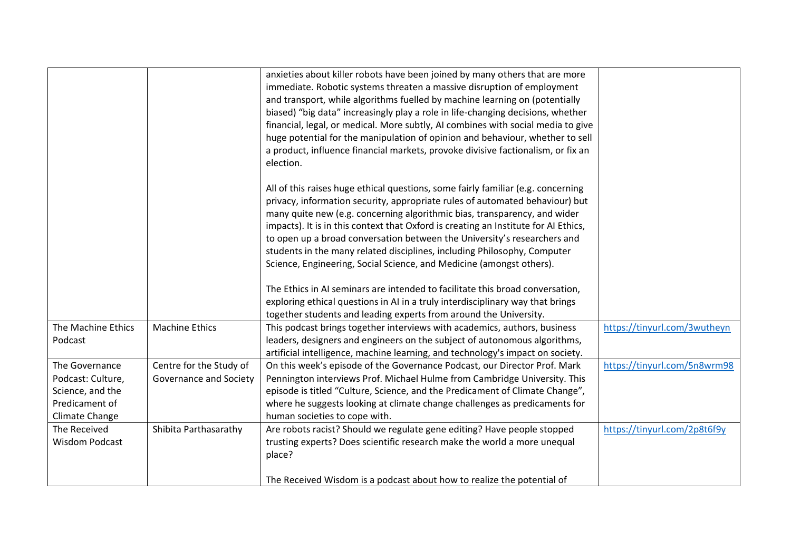|                                                                                             |                                                   | anxieties about killer robots have been joined by many others that are more<br>immediate. Robotic systems threaten a massive disruption of employment<br>and transport, while algorithms fuelled by machine learning on (potentially<br>biased) "big data" increasingly play a role in life-changing decisions, whether<br>financial, legal, or medical. More subtly, AI combines with social media to give<br>huge potential for the manipulation of opinion and behaviour, whether to sell<br>a product, influence financial markets, provoke divisive factionalism, or fix an  |                              |
|---------------------------------------------------------------------------------------------|---------------------------------------------------|-----------------------------------------------------------------------------------------------------------------------------------------------------------------------------------------------------------------------------------------------------------------------------------------------------------------------------------------------------------------------------------------------------------------------------------------------------------------------------------------------------------------------------------------------------------------------------------|------------------------------|
|                                                                                             |                                                   | election.<br>All of this raises huge ethical questions, some fairly familiar (e.g. concerning<br>privacy, information security, appropriate rules of automated behaviour) but<br>many quite new (e.g. concerning algorithmic bias, transparency, and wider<br>impacts). It is in this context that Oxford is creating an Institute for AI Ethics,<br>to open up a broad conversation between the University's researchers and<br>students in the many related disciplines, including Philosophy, Computer<br>Science, Engineering, Social Science, and Medicine (amongst others). |                              |
|                                                                                             |                                                   | The Ethics in AI seminars are intended to facilitate this broad conversation,<br>exploring ethical questions in AI in a truly interdisciplinary way that brings<br>together students and leading experts from around the University.                                                                                                                                                                                                                                                                                                                                              |                              |
| The Machine Ethics<br>Podcast                                                               | <b>Machine Ethics</b>                             | This podcast brings together interviews with academics, authors, business<br>leaders, designers and engineers on the subject of autonomous algorithms,<br>artificial intelligence, machine learning, and technology's impact on society.                                                                                                                                                                                                                                                                                                                                          | https://tinyurl.com/3wutheyn |
| The Governance<br>Podcast: Culture,<br>Science, and the<br>Predicament of<br>Climate Change | Centre for the Study of<br>Governance and Society | On this week's episode of the Governance Podcast, our Director Prof. Mark<br>Pennington interviews Prof. Michael Hulme from Cambridge University. This<br>episode is titled "Culture, Science, and the Predicament of Climate Change",<br>where he suggests looking at climate change challenges as predicaments for<br>human societies to cope with.                                                                                                                                                                                                                             | https://tinyurl.com/5n8wrm98 |
| The Received<br><b>Wisdom Podcast</b>                                                       | Shibita Parthasarathy                             | Are robots racist? Should we regulate gene editing? Have people stopped<br>trusting experts? Does scientific research make the world a more unequal<br>place?<br>The Received Wisdom is a podcast about how to realize the potential of                                                                                                                                                                                                                                                                                                                                           | https://tinyurl.com/2p8t6f9y |
|                                                                                             |                                                   |                                                                                                                                                                                                                                                                                                                                                                                                                                                                                                                                                                                   |                              |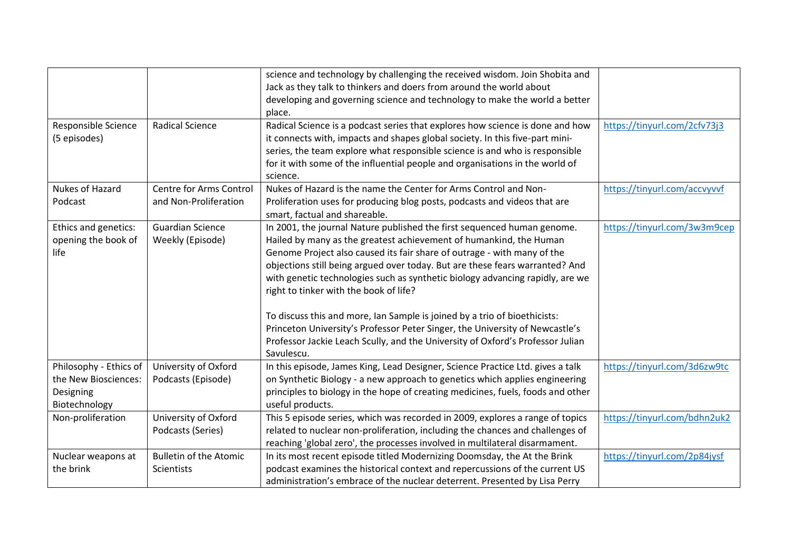|                                                                              |                                                  | science and technology by challenging the received wisdom. Join Shobita and<br>Jack as they talk to thinkers and doers from around the world about<br>developing and governing science and technology to make the world a better<br>place.                                                                                                                                                                                                                                                                                                                                                                                                                                                       |                              |
|------------------------------------------------------------------------------|--------------------------------------------------|--------------------------------------------------------------------------------------------------------------------------------------------------------------------------------------------------------------------------------------------------------------------------------------------------------------------------------------------------------------------------------------------------------------------------------------------------------------------------------------------------------------------------------------------------------------------------------------------------------------------------------------------------------------------------------------------------|------------------------------|
| Responsible Science<br>(5 episodes)                                          | <b>Radical Science</b>                           | Radical Science is a podcast series that explores how science is done and how<br>it connects with, impacts and shapes global society. In this five-part mini-<br>series, the team explore what responsible science is and who is responsible<br>for it with some of the influential people and organisations in the world of<br>science.                                                                                                                                                                                                                                                                                                                                                         | https://tinyurl.com/2cfv73j3 |
| Nukes of Hazard<br>Podcast                                                   | Centre for Arms Control<br>and Non-Proliferation | Nukes of Hazard is the name the Center for Arms Control and Non-<br>Proliferation uses for producing blog posts, podcasts and videos that are<br>smart, factual and shareable.                                                                                                                                                                                                                                                                                                                                                                                                                                                                                                                   | https://tinyurl.com/accvyvvf |
| Ethics and genetics:<br>opening the book of<br>life                          | <b>Guardian Science</b><br>Weekly (Episode)      | In 2001, the journal Nature published the first sequenced human genome.<br>Hailed by many as the greatest achievement of humankind, the Human<br>Genome Project also caused its fair share of outrage - with many of the<br>objections still being argued over today. But are these fears warranted? And<br>with genetic technologies such as synthetic biology advancing rapidly, are we<br>right to tinker with the book of life?<br>To discuss this and more, Ian Sample is joined by a trio of bioethicists:<br>Princeton University's Professor Peter Singer, the University of Newcastle's<br>Professor Jackie Leach Scully, and the University of Oxford's Professor Julian<br>Savulescu. | https://tinyurl.com/3w3m9cep |
| Philosophy - Ethics of<br>the New Biosciences:<br>Designing<br>Biotechnology | University of Oxford<br>Podcasts (Episode)       | In this episode, James King, Lead Designer, Science Practice Ltd. gives a talk<br>on Synthetic Biology - a new approach to genetics which applies engineering<br>principles to biology in the hope of creating medicines, fuels, foods and other<br>useful products.                                                                                                                                                                                                                                                                                                                                                                                                                             | https://tinyurl.com/3d6zw9tc |
| Non-proliferation                                                            | University of Oxford<br>Podcasts (Series)        | This 5 episode series, which was recorded in 2009, explores a range of topics<br>related to nuclear non-proliferation, including the chances and challenges of<br>reaching 'global zero', the processes involved in multilateral disarmament.                                                                                                                                                                                                                                                                                                                                                                                                                                                    | https://tinyurl.com/bdhn2uk2 |
| Nuclear weapons at<br>the brink                                              | <b>Bulletin of the Atomic</b><br>Scientists      | In its most recent episode titled Modernizing Doomsday, the At the Brink<br>podcast examines the historical context and repercussions of the current US<br>administration's embrace of the nuclear deterrent. Presented by Lisa Perry                                                                                                                                                                                                                                                                                                                                                                                                                                                            | https://tinyurl.com/2p84jysf |